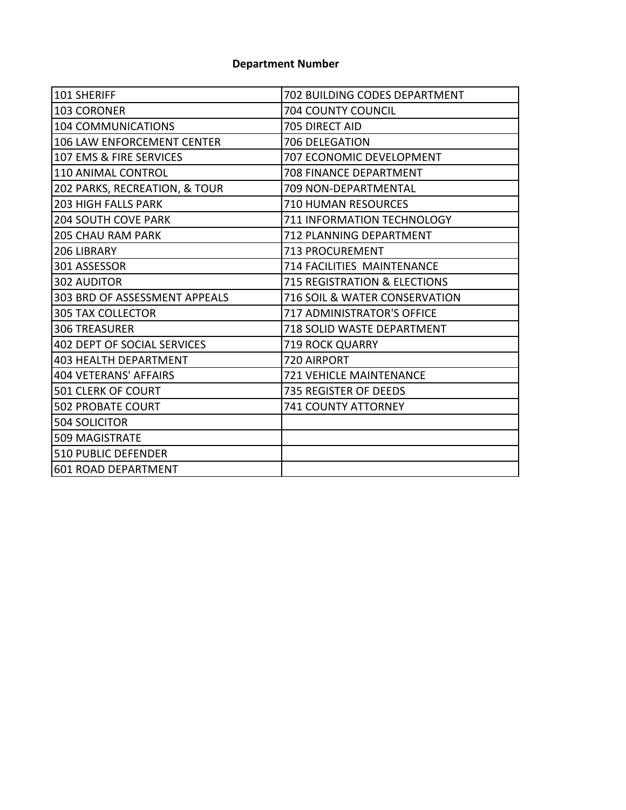## **Department Number**

| 101 SHERIFF                        | 702 BUILDING CODES DEPARTMENT           |  |  |
|------------------------------------|-----------------------------------------|--|--|
| <b>103 CORONER</b>                 | <b>704 COUNTY COUNCIL</b>               |  |  |
| <b>104 COMMUNICATIONS</b>          | 705 DIRECT AID                          |  |  |
| <b>106 LAW ENFORCEMENT CENTER</b>  | 706 DELEGATION                          |  |  |
| 107 EMS & FIRE SERVICES            | 707 ECONOMIC DEVELOPMENT                |  |  |
| 110 ANIMAL CONTROL                 | 708 FINANCE DEPARTMENT                  |  |  |
| 202 PARKS, RECREATION, & TOUR      | 709 NON-DEPARTMENTAL                    |  |  |
| <b>203 HIGH FALLS PARK</b>         | <b>710 HUMAN RESOURCES</b>              |  |  |
| <b>204 SOUTH COVE PARK</b>         | 711 INFORMATION TECHNOLOGY              |  |  |
| <b>205 CHAU RAM PARK</b>           | 712 PLANNING DEPARTMENT                 |  |  |
| 206 LIBRARY                        | 713 PROCUREMENT                         |  |  |
| 301 ASSESSOR                       | 714 FACILITIES MAINTENANCE              |  |  |
| <b>302 AUDITOR</b>                 | <b>715 REGISTRATION &amp; ELECTIONS</b> |  |  |
| 303 BRD OF ASSESSMENT APPEALS      | 716 SOIL & WATER CONSERVATION           |  |  |
| <b>305 TAX COLLECTOR</b>           | 717 ADMINISTRATOR'S OFFICE              |  |  |
| <b>306 TREASURER</b>               | 718 SOLID WASTE DEPARTMENT              |  |  |
| <b>402 DEPT OF SOCIAL SERVICES</b> | <b>719 ROCK QUARRY</b>                  |  |  |
| <b>403 HEALTH DEPARTMENT</b>       | 720 AIRPORT                             |  |  |
| <b>404 VETERANS' AFFAIRS</b>       | <b>721 VEHICLE MAINTENANCE</b>          |  |  |
| 501 CLERK OF COURT                 | 735 REGISTER OF DEEDS                   |  |  |
| <b>502 PROBATE COURT</b>           | 741 COUNTY ATTORNEY                     |  |  |
| 504 SOLICITOR                      |                                         |  |  |
| <b>509 MAGISTRATE</b>              |                                         |  |  |
| 510 PUBLIC DEFENDER                |                                         |  |  |
| <b>601 ROAD DEPARTMENT</b>         |                                         |  |  |